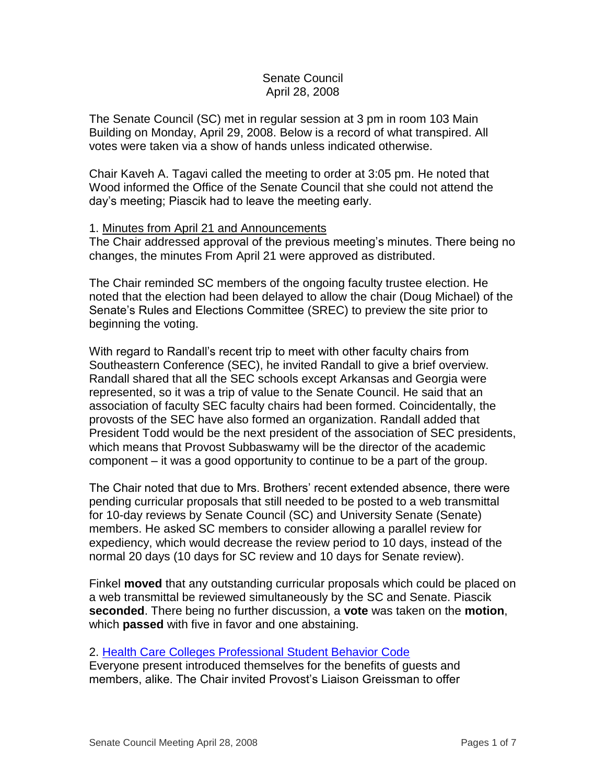### Senate Council April 28, 2008

The Senate Council (SC) met in regular session at 3 pm in room 103 Main Building on Monday, April 29, 2008. Below is a record of what transpired. All votes were taken via a show of hands unless indicated otherwise.

Chair Kaveh A. Tagavi called the meeting to order at 3:05 pm. He noted that Wood informed the Office of the Senate Council that she could not attend the day's meeting; Piascik had to leave the meeting early.

### 1. Minutes from April 21 and Announcements

The Chair addressed approval of the previous meeting's minutes. There being no changes, the minutes From April 21 were approved as distributed.

The Chair reminded SC members of the ongoing faculty trustee election. He noted that the election had been delayed to allow the chair (Doug Michael) of the Senate's Rules and Elections Committee (SREC) to preview the site prior to beginning the voting.

With regard to Randall's recent trip to meet with other faculty chairs from Southeastern Conference (SEC), he invited Randall to give a brief overview. Randall shared that all the SEC schools except Arkansas and Georgia were represented, so it was a trip of value to the Senate Council. He said that an association of faculty SEC faculty chairs had been formed. Coincidentally, the provosts of the SEC have also formed an organization. Randall added that President Todd would be the next president of the association of SEC presidents, which means that Provost Subbaswamy will be the director of the academic component – it was a good opportunity to continue to be a part of the group.

The Chair noted that due to Mrs. Brothers' recent extended absence, there were pending curricular proposals that still needed to be posted to a web transmittal for 10-day reviews by Senate Council (SC) and University Senate (Senate) members. He asked SC members to consider allowing a parallel review for expediency, which would decrease the review period to 10 days, instead of the normal 20 days (10 days for SC review and 10 days for Senate review).

Finkel **moved** that any outstanding curricular proposals which could be placed on a web transmittal be reviewed simultaneously by the SC and Senate. Piascik **seconded**. There being no further discussion, a **vote** was taken on the **motion**, which **passed** with five in favor and one abstaining.

#### 2. [Health Care Colleges Professional Student Behavior Code](http://www.uky.edu/USC/New/files/20080428/HCC%20Code%20-%20clean%20copy%20(for%20Senate%20Council%20review)%204-23-08.pdf)

Everyone present introduced themselves for the benefits of guests and members, alike. The Chair invited Provost's Liaison Greissman to offer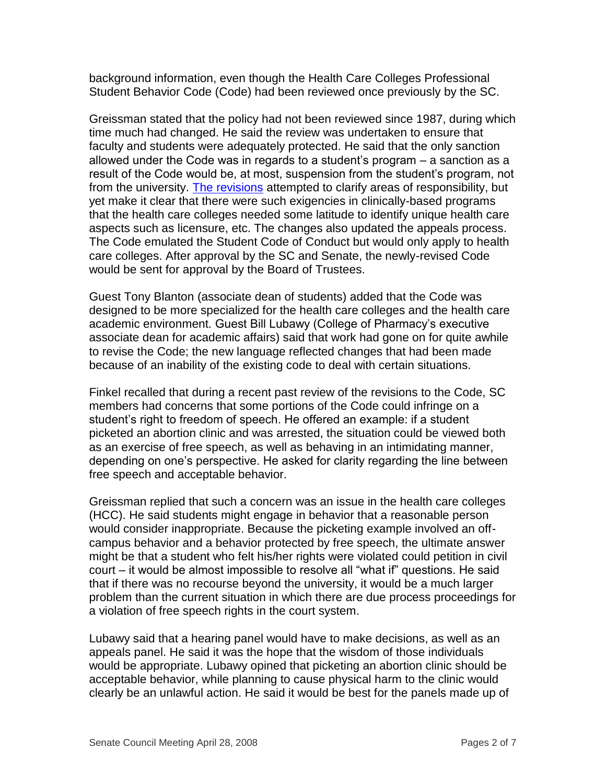background information, even though the Health Care Colleges Professional Student Behavior Code (Code) had been reviewed once previously by the SC.

Greissman stated that the policy had not been reviewed since 1987, during which time much had changed. He said the review was undertaken to ensure that faculty and students were adequately protected. He said that the only sanction allowed under the Code was in regards to a student's program – a sanction as a result of the Code would be, at most, suspension from the student's program, not from the university. [The revisions](http://www.uky.edu/USC/New/files/20080428/HCC%20Code%20-%20version%204-23revised-08%20_tracked%20revisions%20to%20original%2006-18-07%20document.pdf) attempted to clarify areas of responsibility, but yet make it clear that there were such exigencies in clinically-based programs that the health care colleges needed some latitude to identify unique health care aspects such as licensure, etc. The changes also updated the appeals process. The Code emulated the Student Code of Conduct but would only apply to health care colleges. After approval by the SC and Senate, the newly-revised Code would be sent for approval by the Board of Trustees.

Guest Tony Blanton (associate dean of students) added that the Code was designed to be more specialized for the health care colleges and the health care academic environment. Guest Bill Lubawy (College of Pharmacy's executive associate dean for academic affairs) said that work had gone on for quite awhile to revise the Code; the new language reflected changes that had been made because of an inability of the existing code to deal with certain situations.

Finkel recalled that during a recent past review of the revisions to the Code, SC members had concerns that some portions of the Code could infringe on a student's right to freedom of speech. He offered an example: if a student picketed an abortion clinic and was arrested, the situation could be viewed both as an exercise of free speech, as well as behaving in an intimidating manner, depending on one's perspective. He asked for clarity regarding the line between free speech and acceptable behavior.

Greissman replied that such a concern was an issue in the health care colleges (HCC). He said students might engage in behavior that a reasonable person would consider inappropriate. Because the picketing example involved an offcampus behavior and a behavior protected by free speech, the ultimate answer might be that a student who felt his/her rights were violated could petition in civil court – it would be almost impossible to resolve all "what if" questions. He said that if there was no recourse beyond the university, it would be a much larger problem than the current situation in which there are due process proceedings for a violation of free speech rights in the court system.

Lubawy said that a hearing panel would have to make decisions, as well as an appeals panel. He said it was the hope that the wisdom of those individuals would be appropriate. Lubawy opined that picketing an abortion clinic should be acceptable behavior, while planning to cause physical harm to the clinic would clearly be an unlawful action. He said it would be best for the panels made up of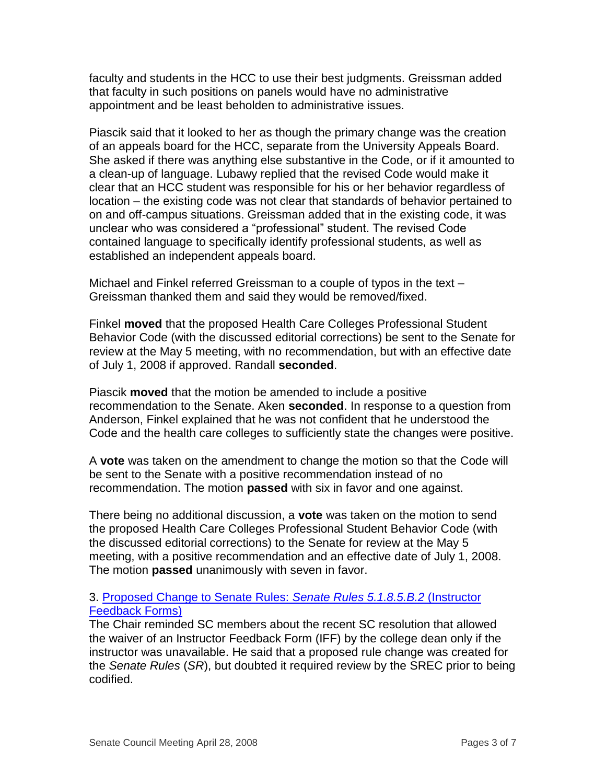faculty and students in the HCC to use their best judgments. Greissman added that faculty in such positions on panels would have no administrative appointment and be least beholden to administrative issues.

Piascik said that it looked to her as though the primary change was the creation of an appeals board for the HCC, separate from the University Appeals Board. She asked if there was anything else substantive in the Code, or if it amounted to a clean-up of language. Lubawy replied that the revised Code would make it clear that an HCC student was responsible for his or her behavior regardless of location – the existing code was not clear that standards of behavior pertained to on and off-campus situations. Greissman added that in the existing code, it was unclear who was considered a "professional" student. The revised Code contained language to specifically identify professional students, as well as established an independent appeals board.

Michael and Finkel referred Greissman to a couple of typos in the text – Greissman thanked them and said they would be removed/fixed.

Finkel **moved** that the proposed Health Care Colleges Professional Student Behavior Code (with the discussed editorial corrections) be sent to the Senate for review at the May 5 meeting, with no recommendation, but with an effective date of July 1, 2008 if approved. Randall **seconded**.

Piascik **moved** that the motion be amended to include a positive recommendation to the Senate. Aken **seconded**. In response to a question from Anderson, Finkel explained that he was not confident that he understood the Code and the health care colleges to sufficiently state the changes were positive.

A **vote** was taken on the amendment to change the motion so that the Code will be sent to the Senate with a positive recommendation instead of no recommendation. The motion **passed** with six in favor and one against.

There being no additional discussion, a **vote** was taken on the motion to send the proposed Health Care Colleges Professional Student Behavior Code (with the discussed editorial corrections) to the Senate for review at the May 5 meeting, with a positive recommendation and an effective date of July 1, 2008. The motion **passed** unanimously with seven in favor.

# 3. [Proposed Change to Senate Rules:](http://www.uky.edu/USC/New/files/20080428/5185%20IFF%20Rewrite.pdf) *Senate Rules 5.1.8.5.B.2* (Instructor [Feedback Forms\)](http://www.uky.edu/USC/New/files/20080428/5185%20IFF%20Rewrite.pdf)

The Chair reminded SC members about the recent SC resolution that allowed the waiver of an Instructor Feedback Form (IFF) by the college dean only if the instructor was unavailable. He said that a proposed rule change was created for the *Senate Rules* (*SR*), but doubted it required review by the SREC prior to being codified.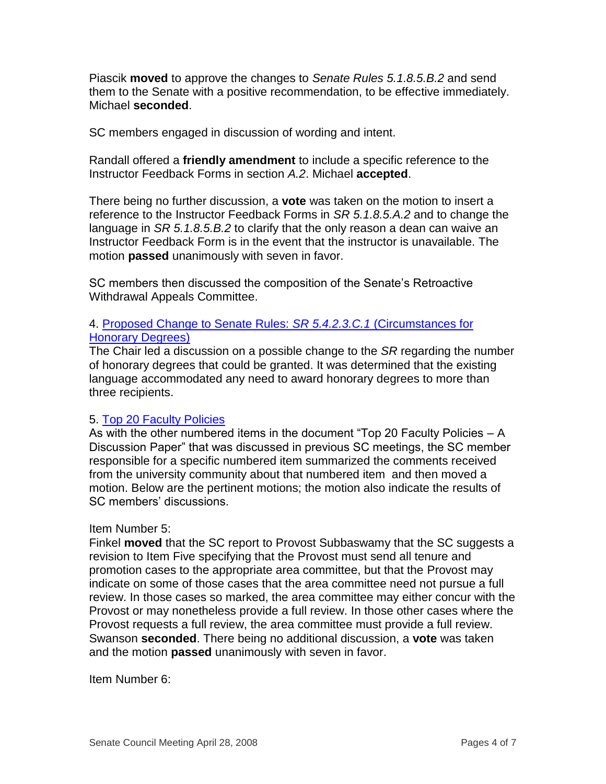Piascik **moved** to approve the changes to *Senate Rules 5.1.8.5.B.2* and send them to the Senate with a positive recommendation, to be effective immediately. Michael **seconded**.

SC members engaged in discussion of wording and intent.

Randall offered a **friendly amendment** to include a specific reference to the Instructor Feedback Forms in section *A.2*. Michael **accepted**.

There being no further discussion, a **vote** was taken on the motion to insert a reference to the Instructor Feedback Forms in *SR 5.1.8.5.A.2* and to change the language in *SR 5.1.8.5.B.2* to clarify that the only reason a dean can waive an Instructor Feedback Form is in the event that the instructor is unavailable. The motion **passed** unanimously with seven in favor.

SC members then discussed the composition of the Senate's Retroactive Withdrawal Appeals Committee.

# 4. [Proposed Change to Senate Rules:](http://www.uky.edu/USC/New/files/20080428/Hon%20Deg%205423C1.pdf) *SR 5.4.2.3.C.1* (Circumstances for [Honorary Degrees\)](http://www.uky.edu/USC/New/files/20080428/Hon%20Deg%205423C1.pdf)

The Chair led a discussion on a possible change to the *SR* regarding the number of honorary degrees that could be granted. It was determined that the existing language accommodated any need to award honorary degrees to more than three recipients.

# 5. [Top 20 Faculty Policies](http://www.uky.edu/USC/New/files/20080428/Top%2020%20Faculty%20Policies%20-%20A%20Discussion%20Paper.pdf)

As with the other numbered items in the document "Top 20 Faculty Policies – A Discussion Paper" that was discussed in previous SC meetings, the SC member responsible for a specific numbered item summarized the comments received from the university community about that numbered item and then moved a motion. Below are the pertinent motions; the motion also indicate the results of SC members' discussions.

# Item Number 5:

Finkel **moved** that the SC report to Provost Subbaswamy that the SC suggests a revision to Item Five specifying that the Provost must send all tenure and promotion cases to the appropriate area committee, but that the Provost may indicate on some of those cases that the area committee need not pursue a full review. In those cases so marked, the area committee may either concur with the Provost or may nonetheless provide a full review. In those other cases where the Provost requests a full review, the area committee must provide a full review. Swanson **seconded**. There being no additional discussion, a **vote** was taken and the motion **passed** unanimously with seven in favor.

Item Number 6: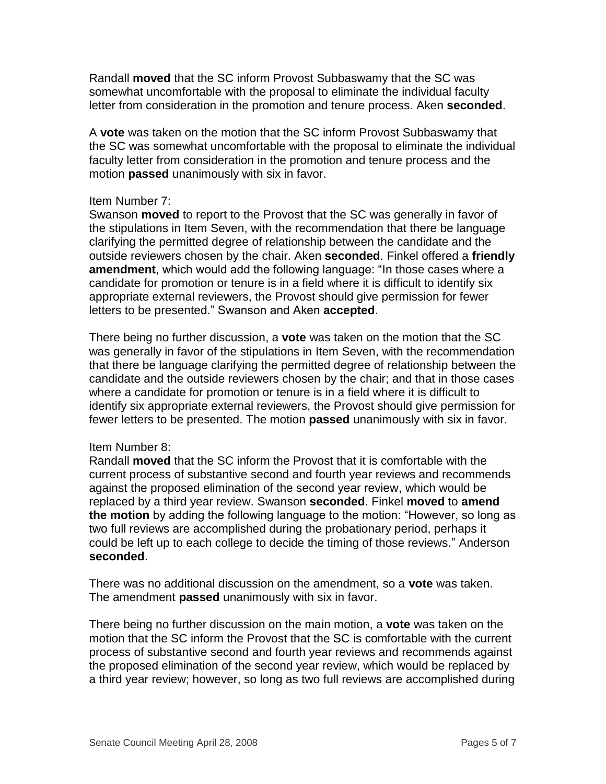Randall **moved** that the SC inform Provost Subbaswamy that the SC was somewhat uncomfortable with the proposal to eliminate the individual faculty letter from consideration in the promotion and tenure process. Aken **seconded**.

A **vote** was taken on the motion that the SC inform Provost Subbaswamy that the SC was somewhat uncomfortable with the proposal to eliminate the individual faculty letter from consideration in the promotion and tenure process and the motion **passed** unanimously with six in favor.

#### Item Number 7:

Swanson **moved** to report to the Provost that the SC was generally in favor of the stipulations in Item Seven, with the recommendation that there be language clarifying the permitted degree of relationship between the candidate and the outside reviewers chosen by the chair. Aken **seconded**. Finkel offered a **friendly amendment**, which would add the following language: "In those cases where a candidate for promotion or tenure is in a field where it is difficult to identify six appropriate external reviewers, the Provost should give permission for fewer letters to be presented." Swanson and Aken **accepted**.

There being no further discussion, a **vote** was taken on the motion that the SC was generally in favor of the stipulations in Item Seven, with the recommendation that there be language clarifying the permitted degree of relationship between the candidate and the outside reviewers chosen by the chair; and that in those cases where a candidate for promotion or tenure is in a field where it is difficult to identify six appropriate external reviewers, the Provost should give permission for fewer letters to be presented. The motion **passed** unanimously with six in favor.

#### Item Number 8:

Randall **moved** that the SC inform the Provost that it is comfortable with the current process of substantive second and fourth year reviews and recommends against the proposed elimination of the second year review, which would be replaced by a third year review. Swanson **seconded**. Finkel **moved** to **amend the motion** by adding the following language to the motion: "However, so long as two full reviews are accomplished during the probationary period, perhaps it could be left up to each college to decide the timing of those reviews." Anderson **seconded**.

There was no additional discussion on the amendment, so a **vote** was taken. The amendment **passed** unanimously with six in favor.

There being no further discussion on the main motion, a **vote** was taken on the motion that the SC inform the Provost that the SC is comfortable with the current process of substantive second and fourth year reviews and recommends against the proposed elimination of the second year review, which would be replaced by a third year review; however, so long as two full reviews are accomplished during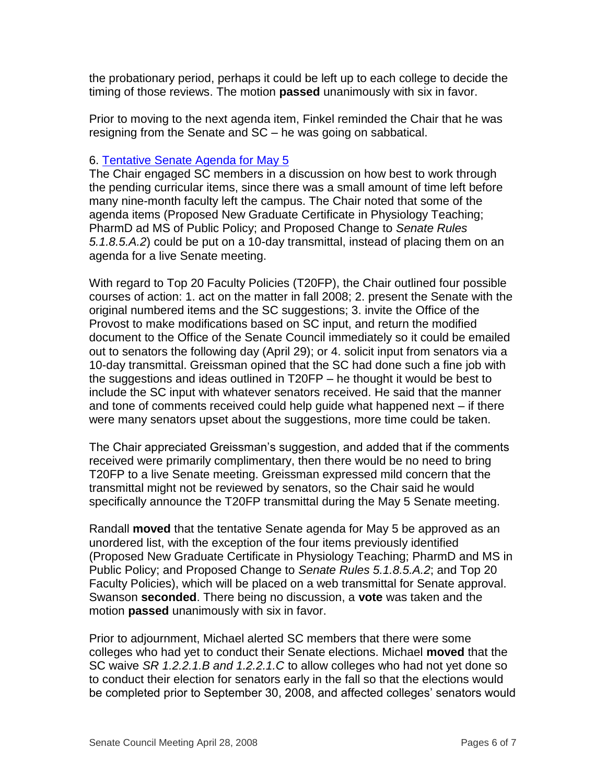the probationary period, perhaps it could be left up to each college to decide the timing of those reviews. The motion **passed** unanimously with six in favor.

Prior to moving to the next agenda item, Finkel reminded the Chair that he was resigning from the Senate and SC – he was going on sabbatical.

#### 6. [Tentative Senate Agenda for May 5](http://www.uky.edu/USC/New/files/20080428/Tentative%20Senate%20Agenda%20for%205-5-08.pdf)

The Chair engaged SC members in a discussion on how best to work through the pending curricular items, since there was a small amount of time left before many nine-month faculty left the campus. The Chair noted that some of the agenda items (Proposed New Graduate Certificate in Physiology Teaching; PharmD ad MS of Public Policy; and Proposed Change to *Senate Rules 5.1.8.5.A.2*) could be put on a 10-day transmittal, instead of placing them on an agenda for a live Senate meeting.

With regard to Top 20 Faculty Policies (T20FP), the Chair outlined four possible courses of action: 1. act on the matter in fall 2008; 2. present the Senate with the original numbered items and the SC suggestions; 3. invite the Office of the Provost to make modifications based on SC input, and return the modified document to the Office of the Senate Council immediately so it could be emailed out to senators the following day (April 29); or 4. solicit input from senators via a 10-day transmittal. Greissman opined that the SC had done such a fine job with the suggestions and ideas outlined in T20FP – he thought it would be best to include the SC input with whatever senators received. He said that the manner and tone of comments received could help guide what happened next – if there were many senators upset about the suggestions, more time could be taken.

The Chair appreciated Greissman's suggestion, and added that if the comments received were primarily complimentary, then there would be no need to bring T20FP to a live Senate meeting. Greissman expressed mild concern that the transmittal might not be reviewed by senators, so the Chair said he would specifically announce the T20FP transmittal during the May 5 Senate meeting.

Randall **moved** that the tentative Senate agenda for May 5 be approved as an unordered list, with the exception of the four items previously identified (Proposed New Graduate Certificate in Physiology Teaching; PharmD and MS in Public Policy; and Proposed Change to *Senate Rules 5.1.8.5.A.2*; and Top 20 Faculty Policies), which will be placed on a web transmittal for Senate approval. Swanson **seconded**. There being no discussion, a **vote** was taken and the motion **passed** unanimously with six in favor.

Prior to adjournment, Michael alerted SC members that there were some colleges who had yet to conduct their Senate elections. Michael **moved** that the SC waive *SR 1.2.2.1.B and 1.2.2.1.C* to allow colleges who had not yet done so to conduct their election for senators early in the fall so that the elections would be completed prior to September 30, 2008, and affected colleges' senators would